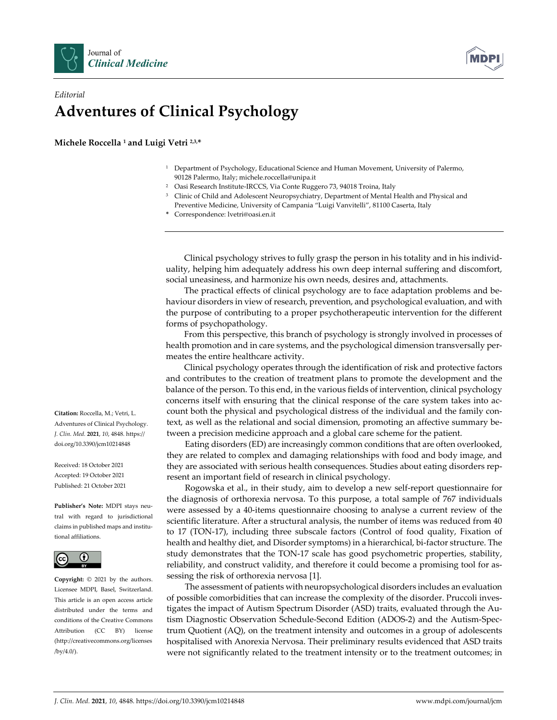



## *Editorial* **Adventures of Clinical Psychology**

**Michele Roccella <sup>1</sup> and Luigi Vetri 2,3,\***

- <sup>1</sup> Department of Psychology, Educational Science and Human Movement, University of Palermo, 90128 Palermo, Italy; michele.roccella@unipa.it
- <sup>2</sup> Oasi Research Institute‐IRCCS, Via Conte Ruggero 73, 94018 Troina, Italy
- <sup>3</sup> Clinic of Child and Adolescent Neuropsychiatry, Department of Mental Health and Physical and Preventive Medicine, University of Campania "Luigi Vanvitelli", 81100 Caserta, Italy
- **\*** Correspondence: lvetri@oasi.en.it

Clinical psychology strives to fully grasp the person in his totality and in his individ‐ uality, helping him adequately address his own deep internal suffering and discomfort, social uneasiness, and harmonize his own needs, desires and, attachments.

The practical effects of clinical psychology are to face adaptation problems and be‐ haviour disorders in view of research, prevention, and psychological evaluation, and with the purpose of contributing to a proper psychotherapeutic intervention for the different forms of psychopathology.

From this perspective, this branch of psychology is strongly involved in processes of health promotion and in care systems, and the psychological dimension transversally permeates the entire healthcare activity.

Clinical psychology operates through the identification of risk and protective factors and contributes to the creation of treatment plans to promote the development and the balance of the person. To this end, in the various fields of intervention, clinical psychology concerns itself with ensuring that the clinical response of the care system takes into account both the physical and psychological distress of the individual and the family con‐ text, as well as the relational and social dimension, promoting an affective summary be‐ tween a precision medicine approach and a global care scheme for the patient.

Eating disorders (ED) are increasingly common conditions that are often overlooked, they are related to complex and damaging relationships with food and body image, and they are associated with serious health consequences. Studies about eating disorders rep‐ resent an important field of research in clinical psychology.

Rogowska et al., in their study, aim to develop a new self‐report questionnaire for the diagnosis of orthorexia nervosa. To this purpose, a total sample of 767 individuals were assessed by a 40‐items questionnaire choosing to analyse a current review of the scientific literature. After a structural analysis, the number of items was reduced from 40 to 17 (TON‐17), including three subscale factors (Control of food quality, Fixation of health and healthy diet, and Disorder symptoms) in a hierarchical, bi‐factor structure. The study demonstrates that the TON‐17 scale has good psychometric properties, stability, reliability, and construct validity, and therefore it could become a promising tool for as‐ sessing the risk of orthorexia nervosa [1].

The assessment of patients with neuropsychological disorders includes an evaluation of possible comorbidities that can increase the complexity of the disorder. Pruccoli inves‐ tigates the impact of Autism Spectrum Disorder (ASD) traits, evaluated through the Au‐ tism Diagnostic Observation Schedule‐Second Edition (ADOS‐2) and the Autism‐Spec‐ trum Quotient (AQ), on the treatment intensity and outcomes in a group of adolescents hospitalised with Anorexia Nervosa. Their preliminary results evidenced that ASD traits were not significantly related to the treatment intensity or to the treatment outcomes; in

**Citation:** Roccella, M.; Vetri, L. Adventures of Clinical Psychology. *J. Clin. Med.* **2021**, *10*, 4848. https:// doi.org/10.3390/jcm10214848

Received: 18 October 2021 Accepted: 19 October 2021 Published: 21 October 2021

**Publisher's Note:** MDPI stays neu‐ tral with regard to jurisdictional claims in published maps and institu‐ tional affiliations.



**Copyright:** © 2021 by the authors. Licensee MDPI, Basel, Switzerland. This article is an open access article distributed under the terms and conditions of the Creative Commons Attribution (CC BY) license (http://creativecommons.org/licenses /by/4.0/).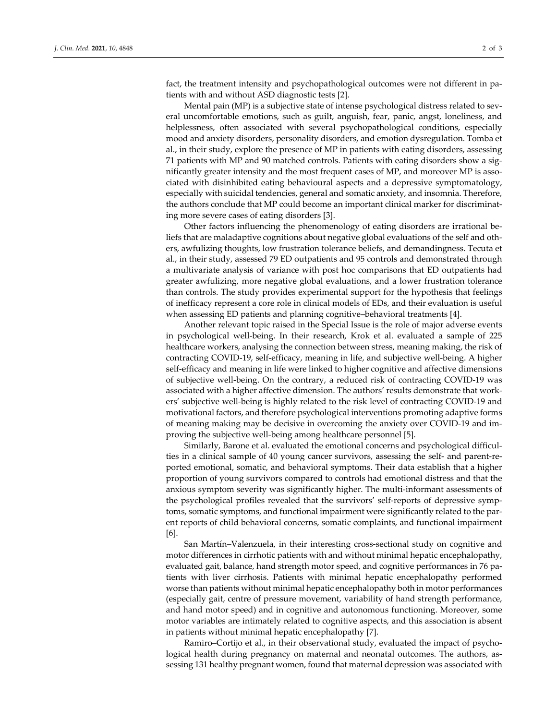fact, the treatment intensity and psychopathological outcomes were not different in patients with and without ASD diagnostic tests [2].

Mental pain (MP) is a subjective state of intense psychological distress related to several uncomfortable emotions, such as guilt, anguish, fear, panic, angst, loneliness, and helplessness, often associated with several psychopathological conditions, especially mood and anxiety disorders, personality disorders, and emotion dysregulation. Tomba et al., in their study, explore the presence of MP in patients with eating disorders, assessing 71 patients with MP and 90 matched controls. Patients with eating disorders show a sig‐ nificantly greater intensity and the most frequent cases of MP, and moreover MP is associated with disinhibited eating behavioural aspects and a depressive symptomatology, especially with suicidal tendencies, general and somatic anxiety, and insomnia. Therefore, the authors conclude that MP could become an important clinical marker for discriminating more severe cases of eating disorders [3].

Other factors influencing the phenomenology of eating disorders are irrational be‐ liefs that are maladaptive cognitions about negative global evaluations of the self and others, awfulizing thoughts, low frustration tolerance beliefs, and demandingness. Tecuta et al., in their study, assessed 79 ED outpatients and 95 controls and demonstrated through a multivariate analysis of variance with post hoc comparisons that ED outpatients had greater awfulizing, more negative global evaluations, and a lower frustration tolerance than controls. The study provides experimental support for the hypothesis that feelings of inefficacy represent a core role in clinical models of EDs, and their evaluation is useful when assessing ED patients and planning cognitive–behavioral treatments [4].

Another relevant topic raised in the Special Issue is the role of major adverse events in psychological well‐being. In their research, Krok et al. evaluated a sample of 225 healthcare workers, analysing the connection between stress, meaning making, the risk of contracting COVID-19, self-efficacy, meaning in life, and subjective well-being. A higher self‐efficacy and meaning in life were linked to higher cognitive and affective dimensions of subjective well‐being. On the contrary, a reduced risk of contracting COVID‐19 was associated with a higher affective dimension. The authors' results demonstrate that work‐ ers' subjective well‐being is highly related to the risk level of contracting COVID‐19 and motivational factors, and therefore psychological interventions promoting adaptive forms of meaning making may be decisive in overcoming the anxiety over COVID‐19 and im‐ proving the subjective well‐being among healthcare personnel [5].

Similarly, Barone et al. evaluated the emotional concerns and psychological difficul‐ ties in a clinical sample of 40 young cancer survivors, assessing the self- and parent-reported emotional, somatic, and behavioral symptoms. Their data establish that a higher proportion of young survivors compared to controls had emotional distress and that the anxious symptom severity was significantly higher. The multi-informant assessments of the psychological profiles revealed that the survivors' self-reports of depressive symptoms, somatic symptoms, and functional impairment were significantly related to the par‐ ent reports of child behavioral concerns, somatic complaints, and functional impairment [6].

San Martín–Valenzuela, in their interesting cross‐sectional study on cognitive and motor differences in cirrhotic patients with and without minimal hepatic encephalopathy, evaluated gait, balance, hand strength motor speed, and cognitive performances in 76 patients with liver cirrhosis. Patients with minimal hepatic encephalopathy performed worse than patients without minimal hepatic encephalopathy both in motor performances (especially gait, centre of pressure movement, variability of hand strength performance, and hand motor speed) and in cognitive and autonomous functioning. Moreover, some motor variables are intimately related to cognitive aspects, and this association is absent in patients without minimal hepatic encephalopathy [7].

Ramiro–Cortijo et al., in their observational study, evaluated the impact of psycho‐ logical health during pregnancy on maternal and neonatal outcomes. The authors, assessing 131 healthy pregnant women, found that maternal depression was associated with